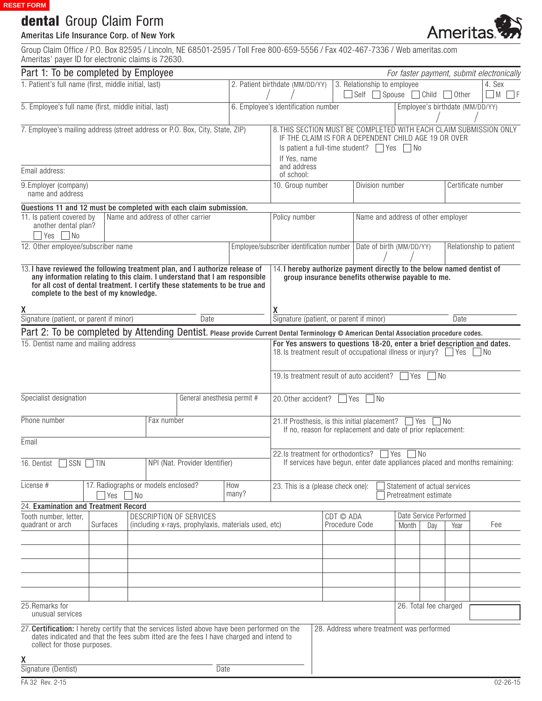# dental Group Claim Form

## Ameritas Life Insurance Corp. of New York

Group Claim Office / P.O. Box 82595 / Lincoln, NE 68501-2595 / Toll Free 800-659-5556 / Fax 402-467-7336 / Web ameritas.com Ameritas' payer ID for electronic claims is 72630.

| Part 1: To be completed by Employee                                                                                                                                                                                                                                                |                                                                                                                                                                                   |                                                     |                                |                                                                                 |                                   |                                                                                                                                                                                         |                                                       |                    |                             |              |                         | For faster payment, submit electronically |        |                |  |
|------------------------------------------------------------------------------------------------------------------------------------------------------------------------------------------------------------------------------------------------------------------------------------|-----------------------------------------------------------------------------------------------------------------------------------------------------------------------------------|-----------------------------------------------------|--------------------------------|---------------------------------------------------------------------------------|-----------------------------------|-----------------------------------------------------------------------------------------------------------------------------------------------------------------------------------------|-------------------------------------------------------|--------------------|-----------------------------|--------------|-------------------------|-------------------------------------------|--------|----------------|--|
| 1. Patient's full name (first, middle initial, last)                                                                                                                                                                                                                               |                                                                                                                                                                                   |                                                     |                                |                                                                                 | 2. Patient birthdate (MM/DD/YY)   |                                                                                                                                                                                         |                                                       |                    | 3. Relationship to employee |              |                         |                                           | 4. Sex |                |  |
|                                                                                                                                                                                                                                                                                    |                                                                                                                                                                                   |                                                     |                                |                                                                                 |                                   |                                                                                                                                                                                         | $\overline{\phantom{a}}$ Self                         |                    | Spouse                      | $\Box$ Child | Other                   |                                           | M      |                |  |
| 5. Employee's full name (first, middle initial, last)                                                                                                                                                                                                                              |                                                                                                                                                                                   |                                                     |                                |                                                                                 |                                   | 6. Employee's identification number                                                                                                                                                     | Employee's birthdate (MM/DD/YY)                       |                    |                             |              |                         |                                           |        |                |  |
| 7. Employee's mailing address (street address or P.O. Box, City, State, ZIP)                                                                                                                                                                                                       | 8. THIS SECTION MUST BE COMPLETED WITH EACH CLAIM SUBMISSION ONLY<br>IF THE CLAIM IS FOR A DEPENDENT CHILD AGE 19 OR OVER<br>Is patient a full-time student? $\Box$ Yes $\Box$ No |                                                     |                                |                                                                                 |                                   |                                                                                                                                                                                         |                                                       |                    |                             |              |                         |                                           |        |                |  |
| Email address:                                                                                                                                                                                                                                                                     |                                                                                                                                                                                   |                                                     |                                |                                                                                 |                                   | If Yes, name<br>and address<br>of school:                                                                                                                                               |                                                       |                    |                             |              |                         |                                           |        |                |  |
| 9. Employer (company)<br>name and address                                                                                                                                                                                                                                          | 10. Group number                                                                                                                                                                  |                                                     | Division number                |                                                                                 |                                   |                                                                                                                                                                                         |                                                       | Certificate number |                             |              |                         |                                           |        |                |  |
| Questions 11 and 12 must be completed with each claim submission.                                                                                                                                                                                                                  |                                                                                                                                                                                   |                                                     |                                |                                                                                 |                                   |                                                                                                                                                                                         |                                                       |                    |                             |              |                         |                                           |        |                |  |
| 11. Is patient covered by<br>another dental plan?<br>$Yes \tN$                                                                                                                                                                                                                     |                                                                                                                                                                                   | Policy number<br>Name and address of other employer |                                |                                                                                 |                                   |                                                                                                                                                                                         |                                                       |                    |                             |              |                         |                                           |        |                |  |
| 12. Other employee/subscriber name                                                                                                                                                                                                                                                 |                                                                                                                                                                                   |                                                     |                                |                                                                                 |                                   | Employee/subscriber identification number   Date of birth (MM/DD/YY)                                                                                                                    |                                                       |                    |                             |              | Relationship to patient |                                           |        |                |  |
| 13. I have reviewed the following treatment plan, and I authorize release of<br>any information relating to this claim. I understand that I am responsible<br>for all cost of dental treatment. I certify these statements to be true and<br>complete to the best of my knowledge. |                                                                                                                                                                                   |                                                     |                                |                                                                                 |                                   | 14. I hereby authorize payment directly to the below named dentist of<br>group insurance benefits otherwise payable to me.                                                              |                                                       |                    |                             |              |                         |                                           |        |                |  |
| χ<br>Signature (patient, or parent if minor)                                                                                                                                                                                                                                       |                                                                                                                                                                                   |                                                     |                                | Date                                                                            |                                   | x<br>Signature (patient, or parent if minor)                                                                                                                                            |                                                       |                    |                             |              |                         | Date                                      |        |                |  |
| Part 2: To be completed by Attending Dentist. Please provide Current Dental Terminology © American Dental Association procedure codes.                                                                                                                                             |                                                                                                                                                                                   |                                                     |                                |                                                                                 |                                   |                                                                                                                                                                                         |                                                       |                    |                             |              |                         |                                           |        |                |  |
| 15. Dentist name and mailing address                                                                                                                                                                                                                                               |                                                                                                                                                                                   |                                                     |                                |                                                                                 |                                   | For Yes answers to questions 18-20, enter a brief description and dates.<br>18. Is treatment result of occupational illness or injury? Yes<br>19. Is treatment result of auto accident? |                                                       |                    |                             | l Yes        | - I No                  |                                           | l No   |                |  |
| Specialist designation                                                                                                                                                                                                                                                             |                                                                                                                                                                                   | General anesthesia permit #                         |                                |                                                                                 | 20.0ther accident?<br>  No<br>Yes |                                                                                                                                                                                         |                                                       |                    |                             |              |                         |                                           |        |                |  |
| Phone number                                                                                                                                                                                                                                                                       |                                                                                                                                                                                   |                                                     | Fax number                     |                                                                                 |                                   | 21. If Prosthesis, is this initial placement?<br>l Yes<br>l No<br>If no, reason for replacement and date of prior replacement:                                                          |                                                       |                    |                             |              |                         |                                           |        |                |  |
| Email                                                                                                                                                                                                                                                                              |                                                                                                                                                                                   |                                                     |                                |                                                                                 |                                   |                                                                                                                                                                                         |                                                       |                    |                             | $\Box$ No    |                         |                                           |        |                |  |
| 16. Dentist SSN TIN                                                                                                                                                                                                                                                                |                                                                                                                                                                                   |                                                     | NPI (Nat. Provider Identifier) |                                                                                 |                                   | <b>Yes</b><br>22. Is treatment for orthodontics?<br>If services have begun, enter date appliances placed and months remaining:                                                          |                                                       |                    |                             |              |                         |                                           |        |                |  |
| License #                                                                                                                                                                                                                                                                          | $\bigcap$ Yes $\bigcap$ No                                                                                                                                                        | 17. Radiographs or models enclosed?<br>How<br>many? |                                |                                                                                 | 23. This is a (please check one): |                                                                                                                                                                                         | Statement of actual services<br>Pretreatment estimate |                    |                             |              |                         |                                           |        |                |  |
| 24. Examination and Treatment Record                                                                                                                                                                                                                                               |                                                                                                                                                                                   |                                                     |                                |                                                                                 |                                   |                                                                                                                                                                                         |                                                       |                    |                             |              | Date Service Performed  |                                           |        |                |  |
| Tooth number, letter,<br>quadrant or arch                                                                                                                                                                                                                                          | Surfaces                                                                                                                                                                          |                                                     |                                | DESCRIPTION OF SERVICES<br>(including x-rays, prophylaxis, materials used, etc) |                                   |                                                                                                                                                                                         | CDT © ADA<br>Procedure Code                           |                    |                             | Month        | Day                     | Year                                      |        | Fee            |  |
|                                                                                                                                                                                                                                                                                    |                                                                                                                                                                                   |                                                     |                                |                                                                                 |                                   |                                                                                                                                                                                         |                                                       |                    |                             |              |                         |                                           |        |                |  |
|                                                                                                                                                                                                                                                                                    |                                                                                                                                                                                   |                                                     |                                |                                                                                 |                                   |                                                                                                                                                                                         |                                                       |                    |                             |              |                         |                                           |        |                |  |
|                                                                                                                                                                                                                                                                                    |                                                                                                                                                                                   |                                                     |                                |                                                                                 |                                   |                                                                                                                                                                                         |                                                       |                    |                             |              |                         |                                           |        |                |  |
| 25. Remarks for<br>unusual services                                                                                                                                                                                                                                                |                                                                                                                                                                                   |                                                     |                                |                                                                                 |                                   |                                                                                                                                                                                         |                                                       |                    |                             |              | 26. Total fee charged   |                                           |        |                |  |
| 27. Certification: I hereby certify that the services listed above have been performed on the<br>dates indicated and that the fees subm itted are the fees I have charged and intend to<br>collect for those purposes.                                                             |                                                                                                                                                                                   |                                                     |                                |                                                                                 |                                   |                                                                                                                                                                                         | 28. Address where treatment was performed             |                    |                             |              |                         |                                           |        |                |  |
| χ                                                                                                                                                                                                                                                                                  |                                                                                                                                                                                   |                                                     |                                |                                                                                 |                                   |                                                                                                                                                                                         |                                                       |                    |                             |              |                         |                                           |        |                |  |
| Signature (Dentist)                                                                                                                                                                                                                                                                |                                                                                                                                                                                   |                                                     |                                | Date                                                                            |                                   |                                                                                                                                                                                         |                                                       |                    |                             |              |                         |                                           |        |                |  |
| FA 32 Rev. 2-15                                                                                                                                                                                                                                                                    |                                                                                                                                                                                   |                                                     |                                |                                                                                 |                                   |                                                                                                                                                                                         |                                                       |                    |                             |              |                         |                                           |        | $02 - 26 - 15$ |  |

**Ameritas** 

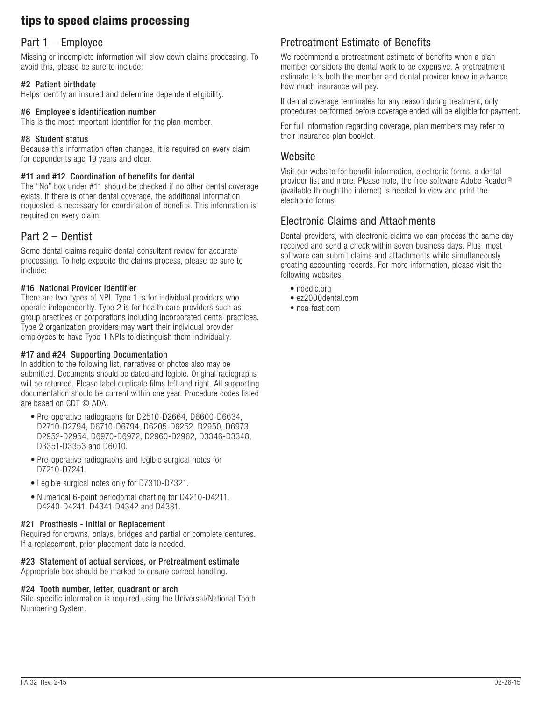# tips to speed claims processing

# Part 1 – Employee

Missing or incomplete information will slow down claims processing. To avoid this, please be sure to include:

#### #2 Patient birthdate

Helps identify an insured and determine dependent eligibility.

#### #6 Employee's identification number

This is the most important identifier for the plan member.

#### #8 Student status

Because this information often changes, it is required on every claim for dependents age 19 years and older.

#### #11 and #12 Coordination of benefits for dental

The "No" box under #11 should be checked if no other dental coverage exists. If there is other dental coverage, the additional information requested is necessary for coordination of benefits. This information is required on every claim.

### Part 2 – Dentist

Some dental claims require dental consultant review for accurate processing. To help expedite the claims process, please be sure to include:

#### #16 National Provider Identifier

There are two types of NPI. Type 1 is for individual providers who operate independently. Type 2 is for health care providers such as group practices or corporations including incorporated dental practices. Type 2 organization providers may want their individual provider employees to have Type 1 NPIs to distinguish them individually.

#### #17 and #24 Supporting Documentation

In addition to the following list, narratives or photos also may be submitted. Documents should be dated and legible. Original radiographs will be returned. Please label duplicate films left and right. All supporting documentation should be current within one year. Procedure codes listed are based on CDT © ADA.

- Pre-operative radiographs for D2510-D2664, D6600-D6634, D2710-D2794, D6710-D6794, D6205-D6252, D2950, D6973, D2952-D2954, D6970-D6972, D2960-D2962, D3346-D3348, D3351-D3353 and D6010.
- Pre-operative radiographs and legible surgical notes for D7210-D7241.
- Legible surgical notes only for D7310-D7321.
- Numerical 6-point periodontal charting for D4210-D4211, D4240-D4241, D4341-D4342 and D4381.

#### #21 Prosthesis - Initial or Replacement

Required for crowns, onlays, bridges and partial or complete dentures. If a replacement, prior placement date is needed.

#### #23 Statement of actual services, or Pretreatment estimate

Appropriate box should be marked to ensure correct handling.

#### #24 Tooth number, letter, quadrant or arch

Site-specific information is required using the Universal/National Tooth Numbering System.

# Pretreatment Estimate of Benefits

We recommend a pretreatment estimate of benefits when a plan member considers the dental work to be expensive. A pretreatment estimate lets both the member and dental provider know in advance how much insurance will pay.

If dental coverage terminates for any reason during treatment, only procedures performed before coverage ended will be eligible for payment.

For full information regarding coverage, plan members may refer to their insurance plan booklet.

### **Website**

Visit our website for benefit information, electronic forms, a dental provider list and more. Please note, the free software Adobe Reader® (available through the internet) is needed to view and print the electronic forms.

### Electronic Claims and Attachments

Dental providers, with electronic claims we can process the same day received and send a check within seven business days. Plus, most software can submit claims and attachments while simultaneously creating accounting records. For more information, please visit the following websites:

- ndedic.org
- ez2000dental.com
- nea-fast.com